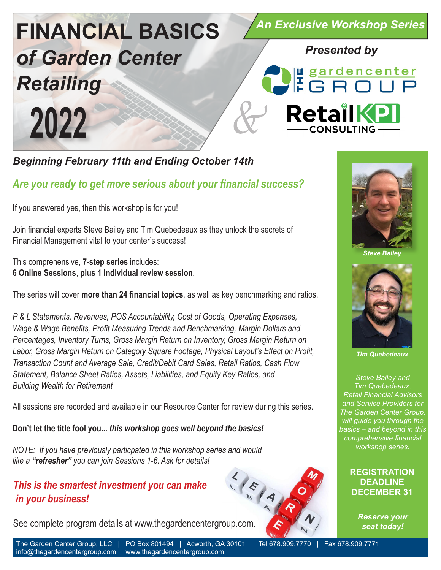

*Beginning February 11th and Ending October 14th*

## *Are you ready to get more serious about your financial success?*

If you answered yes, then this workshop is for you!

Join financial experts Steve Bailey and Tim Quebedeaux as they unlock the secrets of Financial Management vital to your center's success!

This comprehensive, **7-step series** includes: **6 Online Sessions**, **plus 1 individual review session**.

The series will cover **more than 24 financial topics**, as well as key benchmarking and ratios.

*P & L Statements, Revenues, POS Accountability, Cost of Goods, Operating Expenses, Wage & Wage Benefits, Profit Measuring Trends and Benchmarking, Margin Dollars and Percentages, Inventory Turns, Gross Margin Return on Inventory, Gross Margin Return on Labor, Gross Margin Return on Category Square Footage, Physical Layout's Effect on Profit, Transaction Count and Average Sale, Credit/Debit Card Sales, Retail Ratios, Cash Flow Statement, Balance Sheet Ratios, Assets, Liabilities, and Equity Key Ratios, and Building Wealth for Retirement*

All sessions are recorded and available in our Resource Center for review during this series.

**Don't let the title fool you...** *this workshop goes well beyond the basics!*

*NOTE: If you have previously particpated in this workshop series and would like a "refresher" you can join Sessions 1-6. Ask for details!*

## *This is the smartest investment you can make in your business!*

See complete program details at www.thegardencentergroup.com.





*Steve Bailey*



*Tim Quebedeaux*

*Steve Bailey and Tim Quebedeaux, Retail Financial Advisors and Service Providers for The Garden Center Group, will guide you through the basics – and beyond in this comprehensive financial workshop series.*

### **REGISTRATION DEADLINE DECEMBER 31**

*Reserve your seat today!*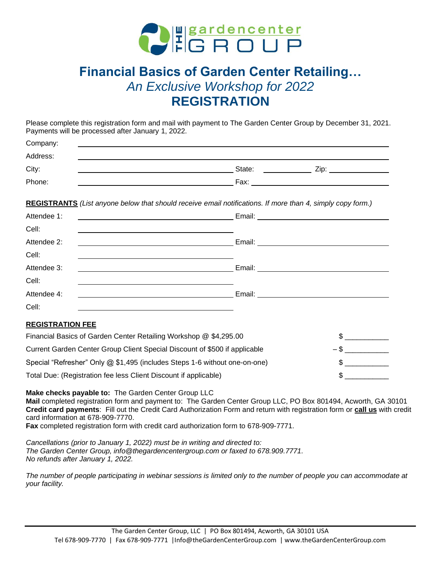

# **Financial Basics of Garden Center Retailing…** *An Exclusive Workshop for 2022* **REGISTRATION**

Please complete this registration form and mail with payment to The Garden Center Group by December 31, 2021. Payments will be processed after January 1, 2022.

| Company: |                |  |
|----------|----------------|--|
| Address: |                |  |
| City:    | State:<br>Zip: |  |
| Phone:   | Fax:           |  |

**REGISTRANTS** *(List anyone below that should receive email notifications. If more than 4, simply copy form.)*

| Attendee 1:     | <u> 2000 - Andrea Andrew Maria (h. 1878).</u>                 |
|-----------------|---------------------------------------------------------------|
| Cell:           |                                                               |
| Attendee 2:     | Email: _____________________                                  |
| Cell:           |                                                               |
| Attendee 3:     | Email:<br><u> 1989 - Andrea Station Barbara, amerikan per</u> |
| Cell:           |                                                               |
| Attendee 4:     | Email:                                                        |
| Cell:           |                                                               |
| --------------- |                                                               |

#### **REGISTRATION FEE**

| Financial Basics of Garden Center Retailing Workshop @ \$4,295.00          |  |
|----------------------------------------------------------------------------|--|
| Current Garden Center Group Client Special Discount of \$500 if applicable |  |
| Special "Refresher" Only @ \$1,495 (includes Steps 1-6 without one-on-one) |  |
| Total Due: (Registration fee less Client Discount if applicable)           |  |

**Make checks payable to:** The Garden Center Group LLC **Mail** completed registration form and payment to: The Garden Center Group LLC, PO Box 801494, Acworth, GA 30101 **Credit card payments**: Fill out the Credit Card Authorization Form and return with registration form or **call us** with credit card information at 678-909-7770. **Fax** completed registration form with credit card authorization form to 678-909-7771.

*Cancellations (prior to January 1, 2022) must be in writing and directed to: The Garden Center Group, info@thegardencentergroup.com or faxed to 678.909.7771. No refunds after January 1, 2022.*

*The number of people participating in webinar sessions is limited only to the number of people you can accommodate at your facility.*